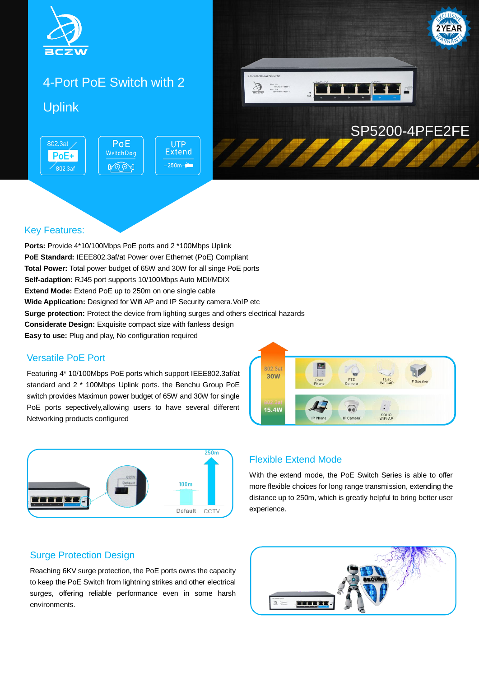

# 4-Port PoE Switch with 2 Uplink

PoE

WatchDog

**A**OOA



#### Key Features:

802.3at

PoE+

802.3af

**Ports:** Provide 4\*10/100Mbps PoE ports and 2 \*100Mbps Uplink **PoE Standard:** IEEE802.3af/at Power over Ethernet (PoE) Compliant **Total Power:** Total power budget of 65W and 30W for all singe PoE ports **Self-adaption:** RJ45 port supports 10/100Mbps Auto MDI/MDIX **Extend Mode:** Extend PoE up to 250m on one single cable **Wide Application:** Designed for Wifi AP and IP Security camera. VoIP etc **Surge protection:** Protect the device from lighting surges and others electrical hazards **Considerate Design:** Exquisite compact size with fanless design **Easy to use:** Plug and play, No configuration required

**UTP Extend** 

 $-250m -$ 

#### Versatile PoE Port

Featuring 4\* 10/100Mbps PoE ports which support IEEE802.3af/at standard and 2 \* 100Mbps Uplink ports. the Benchu Group PoE switch provides Maximun power budget of 65W and 30W for single PoE ports sepectively,allowing users to have several different Networking products configured



#### Flexible Extend Mode

802.3a 30W

 $15.4W$ 

With the extend mode, the PoE Switch Series is able to offer more flexible choices for long range transmission, extending the distance up to 250m, which is greatly helpful to bring better user experience.

PTZ<br>Camers

ត្ត

**IP** Camer

Door

11.ac<br>WiFi-AF

SOHO<br>WiFi-AF

#### Surge Protection Design

Reaching 6KV surge protection, the PoE ports owns the capacity to keep the PoE Switch from lightning strikes and other electrical surges, offering reliable performance even in some harsh environments.

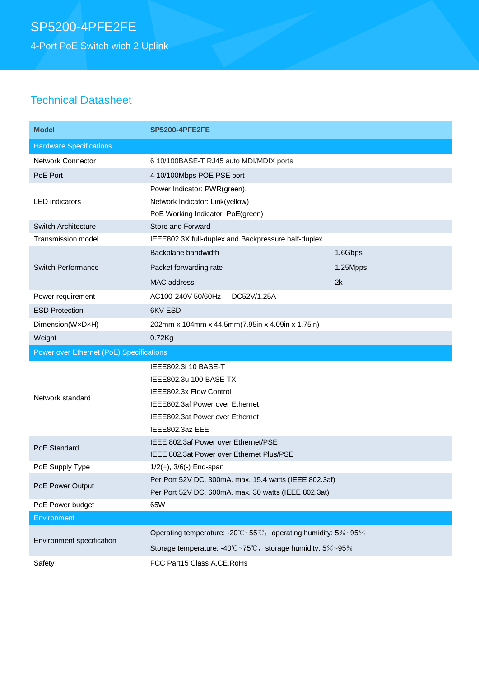4-Port PoE Switch wich 2 Uplink

# Technical Datasheet

| <b>Model</b>                             | <b>SP5200-4PFE2FE</b>                                         |          |
|------------------------------------------|---------------------------------------------------------------|----------|
| <b>Hardware Specifications</b>           |                                                               |          |
| <b>Network Connector</b>                 | 6 10/100BASE-T RJ45 auto MDI/MDIX ports                       |          |
| PoE Port                                 | 4 10/100Mbps POE PSE port                                     |          |
|                                          | Power Indicator: PWR(green).                                  |          |
| <b>LED</b> indicators                    | Network Indicator: Link(yellow)                               |          |
|                                          | PoE Working Indicator: PoE(green)                             |          |
| <b>Switch Architecture</b>               | Store and Forward                                             |          |
| Transmission model                       | IEEE802.3X full-duplex and Backpressure half-duplex           |          |
| <b>Switch Performance</b>                | Backplane bandwidth                                           | 1.6Gbps  |
|                                          | Packet forwarding rate                                        | 1.25Mpps |
|                                          | MAC address                                                   | 2k       |
| Power requirement                        | AC100-240V 50/60Hz<br>DC52V/1.25A                             |          |
| <b>ESD Protection</b>                    | 6KV ESD                                                       |          |
| Dimension(WxDxH)                         | 202mm x 104mm x 44.5mm(7.95in x 4.09in x 1.75in)              |          |
| Weight                                   | $0.72$ Kg                                                     |          |
|                                          |                                                               |          |
| Power over Ethernet (PoE) Specifications |                                                               |          |
|                                          | IEEE802.3i 10 BASE-T                                          |          |
|                                          | IEEE802.3u 100 BASE-TX                                        |          |
|                                          | IEEE802.3x Flow Control                                       |          |
| Network standard                         | IEEE802.3af Power over Ethernet                               |          |
|                                          | IEEE802.3at Power over Ethernet                               |          |
|                                          | IEEE802.3az EEE                                               |          |
|                                          | IEEE 802.3af Power over Ethernet/PSE                          |          |
| PoE Standard                             | IEEE 802.3at Power over Ethernet Plus/PSE                     |          |
| PoE Supply Type                          | $1/2(+)$ , $3/6(-)$ End-span                                  |          |
|                                          | Per Port 52V DC, 300mA. max. 15.4 watts (IEEE 802.3af)        |          |
| PoE Power Output                         | Per Port 52V DC, 600mA. max. 30 watts (IEEE 802.3at)          |          |
| PoE Power budget                         | 65W                                                           |          |
| Environment                              |                                                               |          |
|                                          | Operating temperature: -20°C~55°C, operating humidity: 5%~95% |          |
| Environment specification                | Storage temperature: -40°C~75°C, storage humidity: 5%~95%     |          |